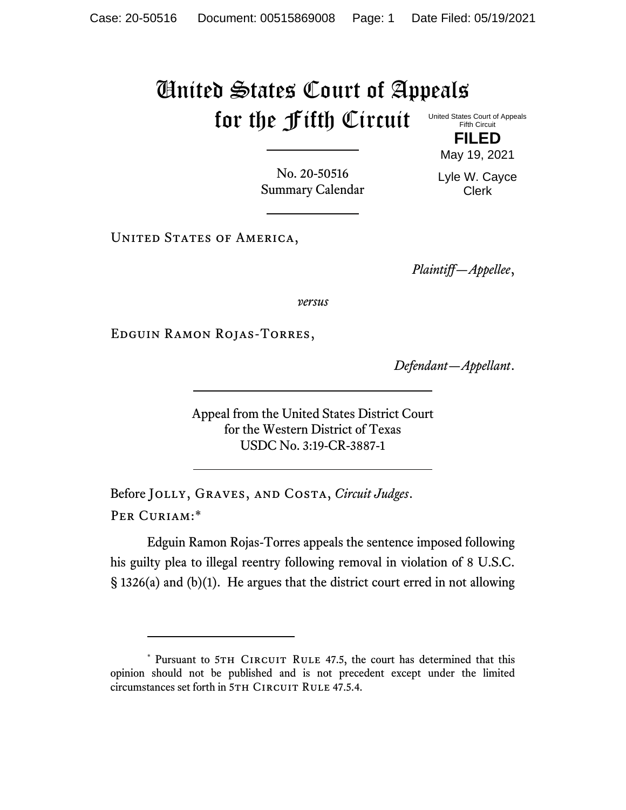## United States Court of Appeals for the Fifth Circuit

United States Court of Appeals Fifth Circuit

> **FILED** May 19, 2021

No. 20-50516 Summary Calendar Lyle W. Cayce Clerk

UNITED STATES OF AMERICA,

*Plaintiff—Appellee*,

*versus*

Edguin Ramon Rojas-Torres,

*Defendant—Appellant*.

Appeal from the United States District Court for the Western District of Texas USDC No. 3:19-CR-3887-1

Before Jolly, Graves, and Costa, *Circuit Judges*. Per Curiam:\*

Edguin Ramon Rojas-Torres appeals the sentence imposed following his guilty plea to illegal reentry following removal in violation of 8 U.S.C. § 1326(a) and (b)(1). He argues that the district court erred in not allowing

<sup>\*</sup> Pursuant to 5TH CIRCUIT RULE 47.5, the court has determined that this opinion should not be published and is not precedent except under the limited circumstances set forth in 5TH CIRCUIT RULE 47.5.4.